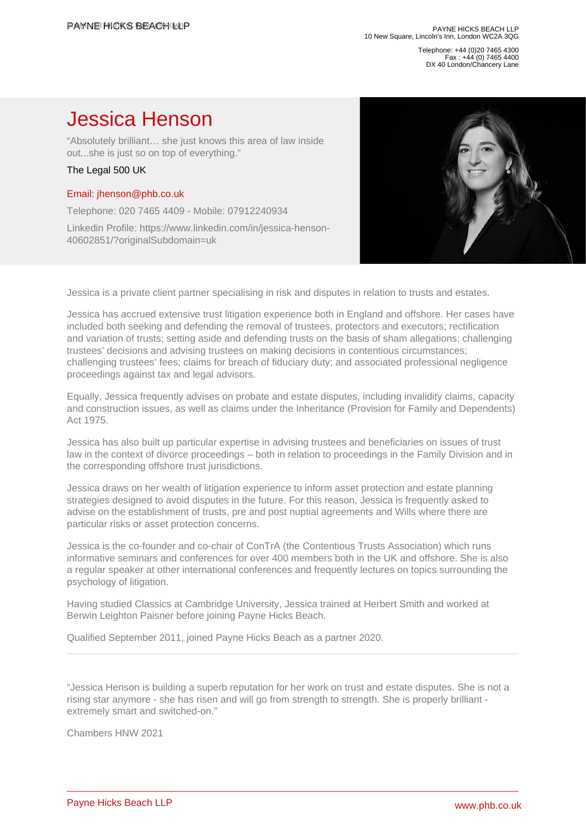Telephone: +44 (0)20 7465 4300 Fax : +44 (0) 7465 4400 DX 40 London/Chancery Lane

## Jessica Henson

"Absolutely brilliant… she just knows this area of law inside out...she is just so on top of everything."

## The Legal 500 UK

## [Email: jhenson@phb.co.uk](�� m a i l t o : j h e n s o n @ p h b . c o . u k)

Telephone: 020 7465 4409 - Mobile: 07912240934

Linkedin Profile: https://www.linkedin.com/in/jessica-henson-40602851/?originalSubdomain=uk

Jessica is a private client partner specialising in risk and disputes in relation to trusts and estates.

Jessica has accrued extensive trust litigation experience both in England and offshore. Her cases have included both seeking and defending the removal of trustees, protectors and executors; rectification and variation of trusts; setting aside and defending trusts on the basis of sham allegations; challenging trustees' decisions and advising trustees on making decisions in contentious circumstances; challenging trustees' fees; claims for breach of fiduciary duty; and associated professional negligence proceedings against tax and legal advisors.

Equally, Jessica frequently advises on probate and estate disputes, including invalidity claims, capacity and construction issues, as well as claims under the Inheritance (Provision for Family and Dependents) Act 1975.

Jessica has also built up particular expertise in advising trustees and beneficiaries on issues of trust law in the context of divorce proceedings – both in relation to proceedings in the Family Division and in the corresponding offshore trust jurisdictions.

Jessica draws on her wealth of litigation experience to inform asset protection and estate planning strategies designed to avoid disputes in the future. For this reason, Jessica is frequently asked to advise on the establishment of trusts, pre and post nuptial agreements and Wills where there are particular risks or asset protection concerns.

Jessica is the co-founder and co-chair of ConTrA (the Contentious Trusts Association) which runs informative seminars and conferences for over 400 members both in the UK and offshore. She is also a regular speaker at other international conferences and frequently lectures on topics surrounding the psychology of litigation.

Having studied Classics at Cambridge University, Jessica trained at Herbert Smith and worked at Berwin Leighton Paisner before joining Payne Hicks Beach.

Qualified September 2011, joined Payne Hicks Beach as a partner 2020.

"Jessica Henson is building a superb reputation for her work on trust and estate disputes. She is not a rising star anymore - she has risen and will go from strength to strength. She is properly brilliant extremely smart and switched-on."

Chambers HNW 2021